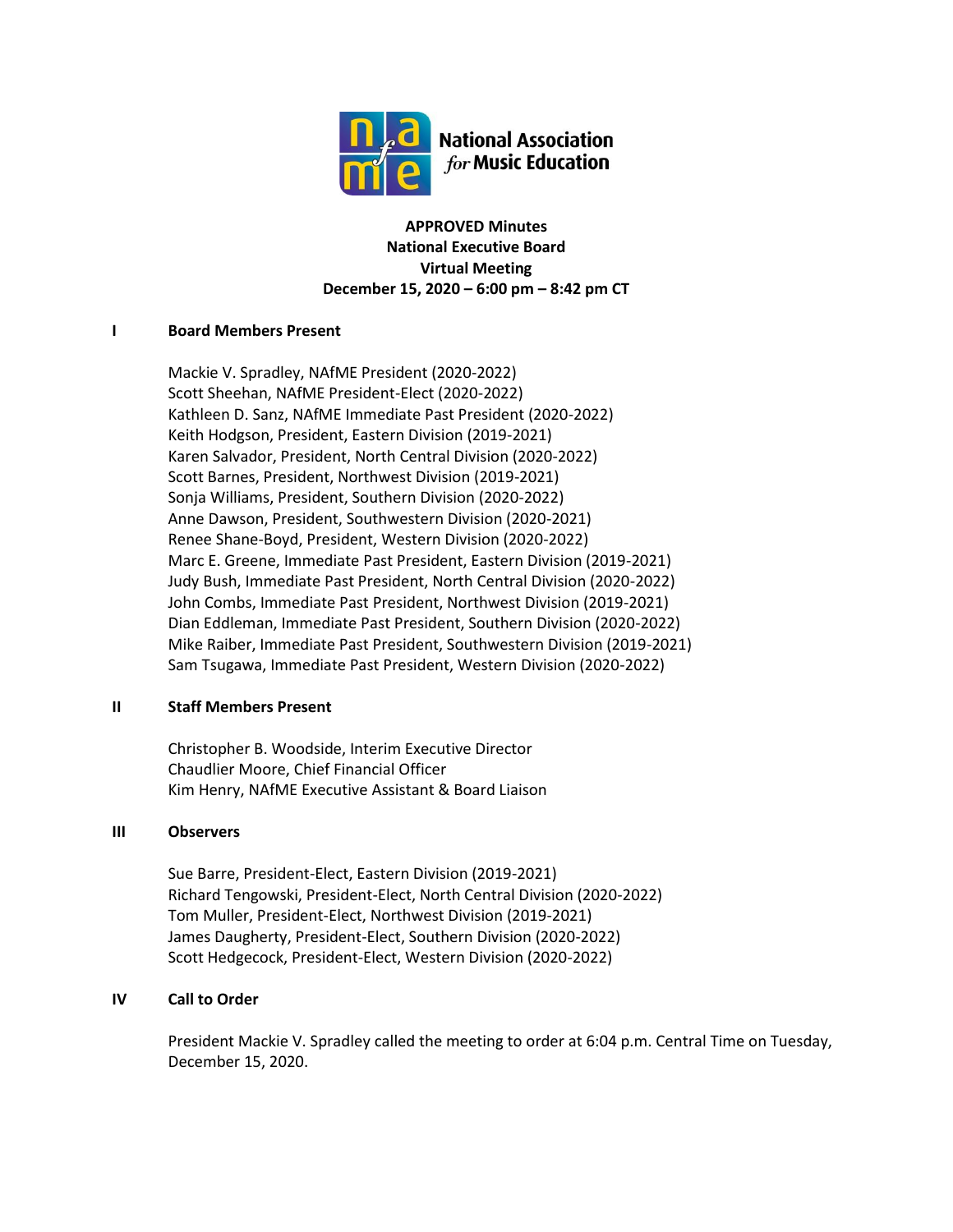

**APPROVED Minutes National Executive Board Virtual Meeting December 15, 2020 – 6:00 pm – 8:42 pm CT**

# **I Board Members Present**

Mackie V. Spradley, NAfME President (2020-2022) Scott Sheehan, NAfME President-Elect (2020-2022) Kathleen D. Sanz, NAfME Immediate Past President (2020-2022) Keith Hodgson, President, Eastern Division (2019-2021) Karen Salvador, President, North Central Division (2020-2022) Scott Barnes, President, Northwest Division (2019-2021) Sonja Williams, President, Southern Division (2020-2022) Anne Dawson, President, Southwestern Division (2020-2021) Renee Shane-Boyd, President, Western Division (2020-2022) Marc E. Greene, Immediate Past President, Eastern Division (2019-2021) Judy Bush, Immediate Past President, North Central Division (2020-2022) John Combs, Immediate Past President, Northwest Division (2019-2021) Dian Eddleman, Immediate Past President, Southern Division (2020-2022) Mike Raiber, Immediate Past President, Southwestern Division (2019-2021) Sam Tsugawa, Immediate Past President, Western Division (2020-2022)

# **II Staff Members Present**

Christopher B. Woodside, Interim Executive Director Chaudlier Moore, Chief Financial Officer Kim Henry, NAfME Executive Assistant & Board Liaison

# **III Observers**

Sue Barre, President-Elect, Eastern Division (2019-2021) Richard Tengowski, President-Elect, North Central Division (2020-2022) Tom Muller, President-Elect, Northwest Division (2019-2021) James Daugherty, President-Elect, Southern Division (2020-2022) Scott Hedgecock, President-Elect, Western Division (2020-2022)

# **IV Call to Order**

President Mackie V. Spradley called the meeting to order at 6:04 p.m. Central Time on Tuesday, December 15, 2020.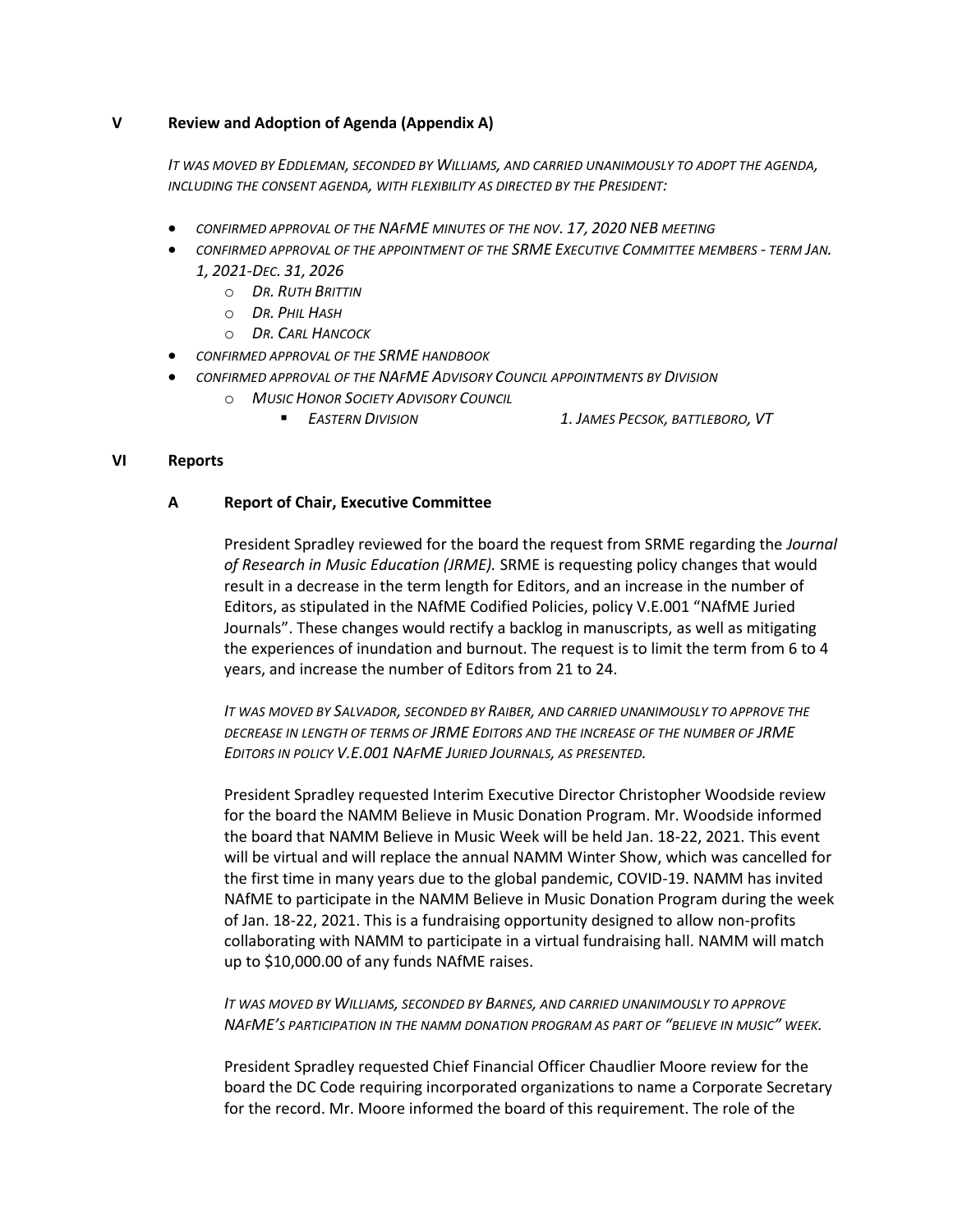### **V Review and Adoption of Agenda (Appendix A)**

*IT WAS MOVED BY EDDLEMAN, SECONDED BY WILLIAMS, AND CARRIED UNANIMOUSLY TO ADOPT THE AGENDA, INCLUDING THE CONSENT AGENDA, WITH FLEXIBILITY AS DIRECTED BY THE PRESIDENT:*

- *CONFIRMED APPROVAL OF THE NAFME MINUTES OF THE NOV. 17, 2020 NEB MEETING*
- *CONFIRMED APPROVAL OF THE APPOINTMENT OF THE SRME EXECUTIVE COMMITTEE MEMBERS - TERM JAN. 1, 2021-DEC. 31, 2026*
	- o *DR. RUTH BRITTIN*
	- o *DR. PHIL HASH*
	- o *DR. CARL HANCOCK*
- *CONFIRMED APPROVAL OF THE SRME HANDBOOK*
- *CONFIRMED APPROVAL OF THE NAFME ADVISORY COUNCIL APPOINTMENTS BY DIVISION*
	- o *MUSIC HONOR SOCIETY ADVISORY COUNCIL*
		-
		- *EASTERN DIVISION 1. JAMES PECSOK, BATTLEBORO, VT*

### **VI Reports**

# **A Report of Chair, Executive Committee**

President Spradley reviewed for the board the request from SRME regarding the *Journal of Research in Music Education (JRME).* SRME is requesting policy changes that would result in a decrease in the term length for Editors, and an increase in the number of Editors, as stipulated in the NAfME Codified Policies, policy V.E.001 "NAfME Juried Journals". These changes would rectify a backlog in manuscripts, as well as mitigating the experiences of inundation and burnout. The request is to limit the term from 6 to 4 years, and increase the number of Editors from 21 to 24.

*IT WAS MOVED BY SALVADOR, SECONDED BY RAIBER, AND CARRIED UNANIMOUSLY TO APPROVE THE DECREASE IN LENGTH OF TERMS OF JRME EDITORS AND THE INCREASE OF THE NUMBER OF JRME EDITORS IN POLICY V.E.001 NAFME JURIED JOURNALS, AS PRESENTED.*

President Spradley requested Interim Executive Director Christopher Woodside review for the board the NAMM Believe in Music Donation Program. Mr. Woodside informed the board that NAMM Believe in Music Week will be held Jan. 18-22, 2021. This event will be virtual and will replace the annual NAMM Winter Show, which was cancelled for the first time in many years due to the global pandemic, COVID-19. NAMM has invited NAfME to participate in the NAMM Believe in Music Donation Program during the week of Jan. 18-22, 2021. This is a fundraising opportunity designed to allow non-profits collaborating with NAMM to participate in a virtual fundraising hall. NAMM will match up to \$10,000.00 of any funds NAfME raises.

*IT WAS MOVED BY WILLIAMS, SECONDED BY BARNES, AND CARRIED UNANIMOUSLY TO APPROVE NAFME'S PARTICIPATION IN THE NAMM DONATION PROGRAM AS PART OF "BELIEVE IN MUSIC" WEEK.*

President Spradley requested Chief Financial Officer Chaudlier Moore review for the board the DC Code requiring incorporated organizations to name a Corporate Secretary for the record. Mr. Moore informed the board of this requirement. The role of the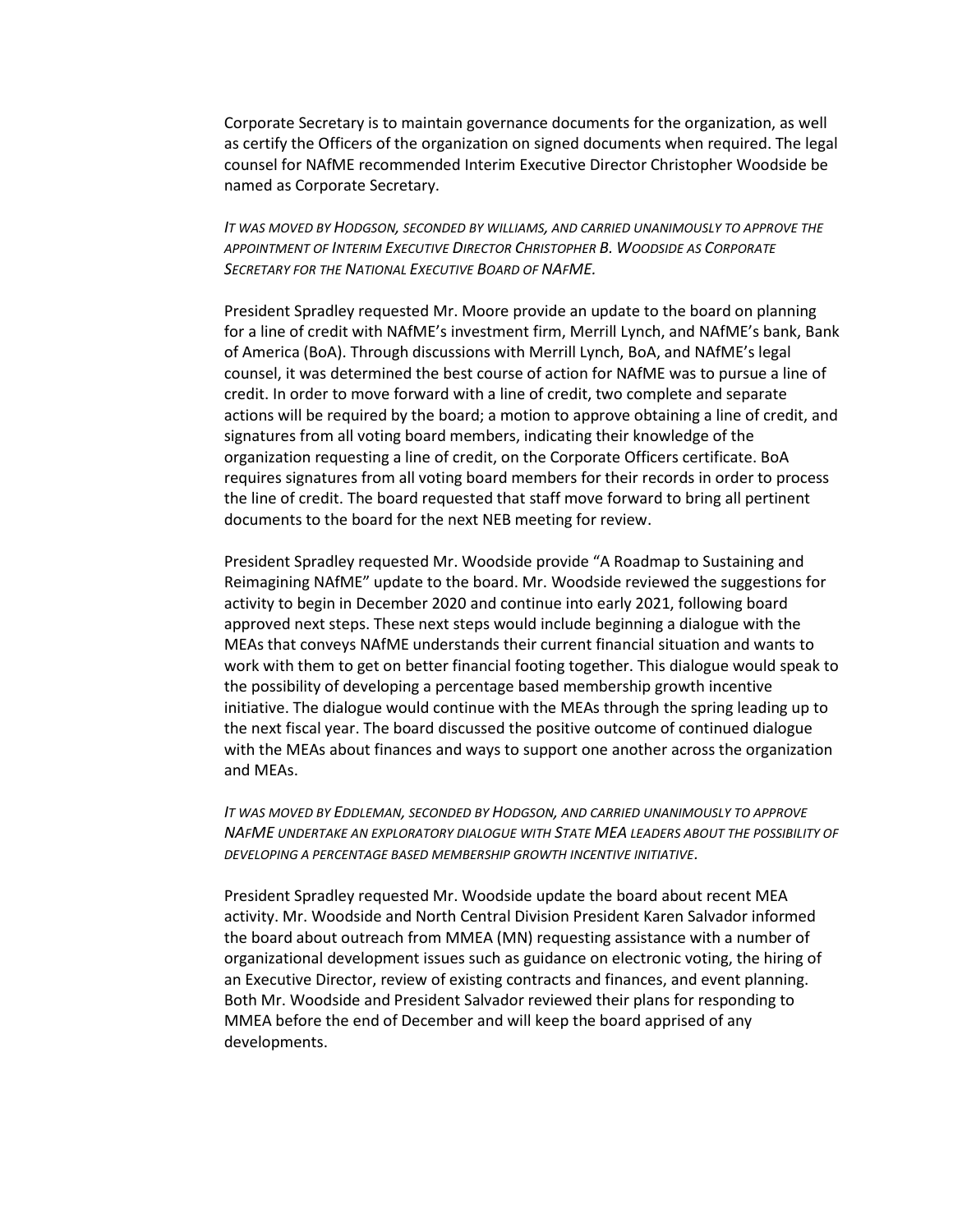Corporate Secretary is to maintain governance documents for the organization, as well as certify the Officers of the organization on signed documents when required. The legal counsel for NAfME recommended Interim Executive Director Christopher Woodside be named as Corporate Secretary.

*IT WAS MOVED BY HODGSON, SECONDED BY WILLIAMS, AND CARRIED UNANIMOUSLY TO APPROVE THE APPOINTMENT OF INTERIM EXECUTIVE DIRECTOR CHRISTOPHER B. WOODSIDE AS CORPORATE SECRETARY FOR THE NATIONAL EXECUTIVE BOARD OF NAFME.*

President Spradley requested Mr. Moore provide an update to the board on planning for a line of credit with NAfME's investment firm, Merrill Lynch, and NAfME's bank, Bank of America (BoA). Through discussions with Merrill Lynch, BoA, and NAfME's legal counsel, it was determined the best course of action for NAfME was to pursue a line of credit. In order to move forward with a line of credit, two complete and separate actions will be required by the board; a motion to approve obtaining a line of credit, and signatures from all voting board members, indicating their knowledge of the organization requesting a line of credit, on the Corporate Officers certificate. BoA requires signatures from all voting board members for their records in order to process the line of credit. The board requested that staff move forward to bring all pertinent documents to the board for the next NEB meeting for review.

President Spradley requested Mr. Woodside provide "A Roadmap to Sustaining and Reimagining NAfME" update to the board. Mr. Woodside reviewed the suggestions for activity to begin in December 2020 and continue into early 2021, following board approved next steps. These next steps would include beginning a dialogue with the MEAs that conveys NAfME understands their current financial situation and wants to work with them to get on better financial footing together. This dialogue would speak to the possibility of developing a percentage based membership growth incentive initiative. The dialogue would continue with the MEAs through the spring leading up to the next fiscal year. The board discussed the positive outcome of continued dialogue with the MEAs about finances and ways to support one another across the organization and MEAs.

*IT WAS MOVED BY EDDLEMAN, SECONDED BY HODGSON, AND CARRIED UNANIMOUSLY TO APPROVE NAFME UNDERTAKE AN EXPLORATORY DIALOGUE WITH STATE MEA LEADERS ABOUT THE POSSIBILITY OF DEVELOPING A PERCENTAGE BASED MEMBERSHIP GROWTH INCENTIVE INITIATIVE.*

President Spradley requested Mr. Woodside update the board about recent MEA activity. Mr. Woodside and North Central Division President Karen Salvador informed the board about outreach from MMEA (MN) requesting assistance with a number of organizational development issues such as guidance on electronic voting, the hiring of an Executive Director, review of existing contracts and finances, and event planning. Both Mr. Woodside and President Salvador reviewed their plans for responding to MMEA before the end of December and will keep the board apprised of any developments.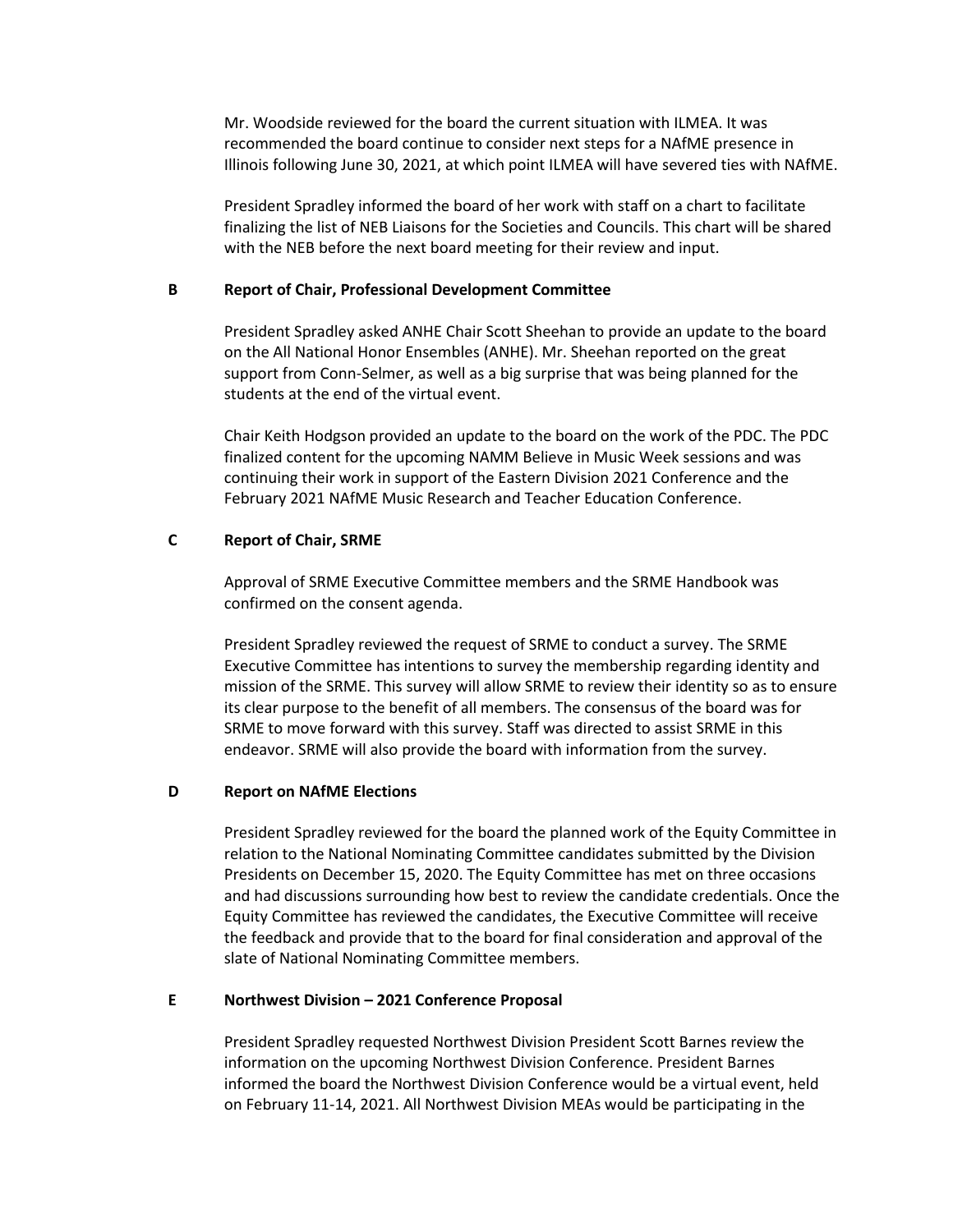Mr. Woodside reviewed for the board the current situation with ILMEA. It was recommended the board continue to consider next steps for a NAfME presence in Illinois following June 30, 2021, at which point ILMEA will have severed ties with NAfME.

President Spradley informed the board of her work with staff on a chart to facilitate finalizing the list of NEB Liaisons for the Societies and Councils. This chart will be shared with the NEB before the next board meeting for their review and input.

#### **B Report of Chair, Professional Development Committee**

President Spradley asked ANHE Chair Scott Sheehan to provide an update to the board on the All National Honor Ensembles (ANHE). Mr. Sheehan reported on the great support from Conn-Selmer, as well as a big surprise that was being planned for the students at the end of the virtual event.

Chair Keith Hodgson provided an update to the board on the work of the PDC. The PDC finalized content for the upcoming NAMM Believe in Music Week sessions and was continuing their work in support of the Eastern Division 2021 Conference and the February 2021 NAfME Music Research and Teacher Education Conference.

### **C Report of Chair, SRME**

Approval of SRME Executive Committee members and the SRME Handbook was confirmed on the consent agenda.

President Spradley reviewed the request of SRME to conduct a survey. The SRME Executive Committee has intentions to survey the membership regarding identity and mission of the SRME. This survey will allow SRME to review their identity so as to ensure its clear purpose to the benefit of all members. The consensus of the board was for SRME to move forward with this survey. Staff was directed to assist SRME in this endeavor. SRME will also provide the board with information from the survey.

### **D Report on NAfME Elections**

President Spradley reviewed for the board the planned work of the Equity Committee in relation to the National Nominating Committee candidates submitted by the Division Presidents on December 15, 2020. The Equity Committee has met on three occasions and had discussions surrounding how best to review the candidate credentials. Once the Equity Committee has reviewed the candidates, the Executive Committee will receive the feedback and provide that to the board for final consideration and approval of the slate of National Nominating Committee members.

# **E Northwest Division – 2021 Conference Proposal**

President Spradley requested Northwest Division President Scott Barnes review the information on the upcoming Northwest Division Conference. President Barnes informed the board the Northwest Division Conference would be a virtual event, held on February 11-14, 2021. All Northwest Division MEAs would be participating in the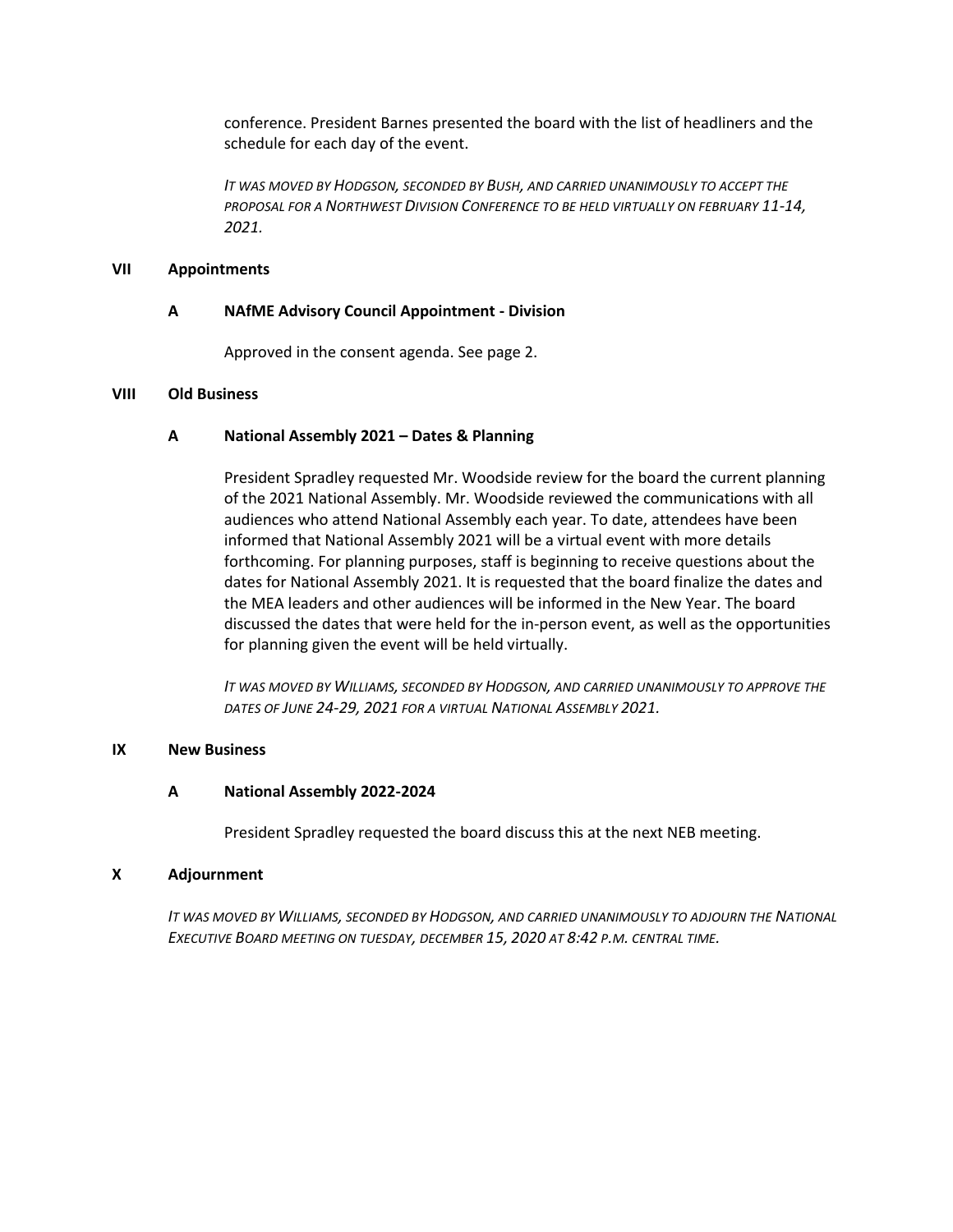conference. President Barnes presented the board with the list of headliners and the schedule for each day of the event.

*IT WAS MOVED BY HODGSON, SECONDED BY BUSH, AND CARRIED UNANIMOUSLY TO ACCEPT THE PROPOSAL FOR A NORTHWEST DIVISION CONFERENCE TO BE HELD VIRTUALLY ON FEBRUARY 11-14, 2021.*

### **VII Appointments**

#### **A NAfME Advisory Council Appointment - Division**

Approved in the consent agenda. See page 2.

### **VIII Old Business**

#### **A National Assembly 2021 – Dates & Planning**

President Spradley requested Mr. Woodside review for the board the current planning of the 2021 National Assembly. Mr. Woodside reviewed the communications with all audiences who attend National Assembly each year. To date, attendees have been informed that National Assembly 2021 will be a virtual event with more details forthcoming. For planning purposes, staff is beginning to receive questions about the dates for National Assembly 2021. It is requested that the board finalize the dates and the MEA leaders and other audiences will be informed in the New Year. The board discussed the dates that were held for the in-person event, as well as the opportunities for planning given the event will be held virtually.

*IT WAS MOVED BY WILLIAMS, SECONDED BY HODGSON, AND CARRIED UNANIMOUSLY TO APPROVE THE DATES OF JUNE 24-29, 2021 FOR A VIRTUAL NATIONAL ASSEMBLY 2021.*

#### **IX New Business**

#### **A National Assembly 2022-2024**

President Spradley requested the board discuss this at the next NEB meeting.

#### **X Adjournment**

*IT WAS MOVED BY WILLIAMS, SECONDED BY HODGSON, AND CARRIED UNANIMOUSLY TO ADJOURN THE NATIONAL EXECUTIVE BOARD MEETING ON TUESDAY, DECEMBER 15, 2020 AT 8:42 P.M. CENTRAL TIME.*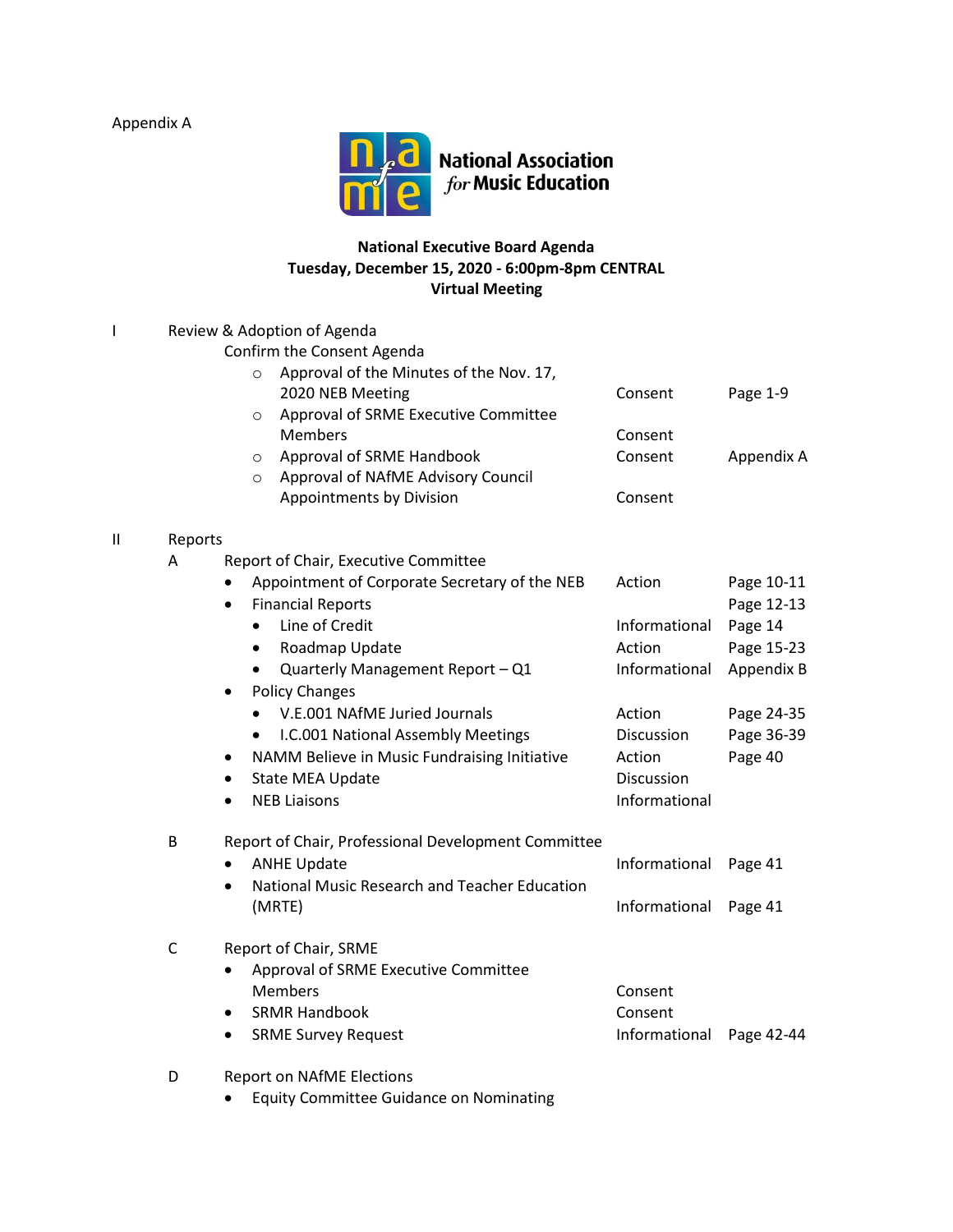Appendix A



# **National Executive Board Agenda Tuesday, December 15, 2020 - 6:00pm-8pm CENTRAL Virtual Meeting**

|               | Review & Adoption of Agenda |                                                            |               |            |  |  |  |
|---------------|-----------------------------|------------------------------------------------------------|---------------|------------|--|--|--|
|               | Confirm the Consent Agenda  |                                                            |               |            |  |  |  |
|               |                             | Approval of the Minutes of the Nov. 17,<br>$\circ$         |               |            |  |  |  |
|               |                             | 2020 NEB Meeting                                           | Consent       | Page 1-9   |  |  |  |
|               |                             | Approval of SRME Executive Committee<br>$\circ$            |               |            |  |  |  |
|               |                             | <b>Members</b>                                             | Consent       |            |  |  |  |
|               |                             | Approval of SRME Handbook<br>$\circ$                       | Consent       | Appendix A |  |  |  |
|               |                             | Approval of NAfME Advisory Council<br>$\circ$              |               |            |  |  |  |
|               |                             | Appointments by Division                                   | Consent       |            |  |  |  |
| $\mathsf{II}$ | Reports                     |                                                            |               |            |  |  |  |
|               | A                           | Report of Chair, Executive Committee                       |               |            |  |  |  |
|               |                             | Appointment of Corporate Secretary of the NEB<br>٠         | Action        | Page 10-11 |  |  |  |
|               |                             | <b>Financial Reports</b><br>$\bullet$                      |               | Page 12-13 |  |  |  |
|               |                             | Line of Credit<br>$\bullet$                                | Informational | Page 14    |  |  |  |
|               |                             | Roadmap Update<br>$\bullet$                                | Action        | Page 15-23 |  |  |  |
|               |                             | Quarterly Management Report - Q1                           | Informational | Appendix B |  |  |  |
|               |                             | <b>Policy Changes</b><br>$\bullet$                         |               |            |  |  |  |
|               |                             | V.E.001 NAfME Juried Journals                              | Action        | Page 24-35 |  |  |  |
|               |                             | I.C.001 National Assembly Meetings                         | Discussion    | Page 36-39 |  |  |  |
|               |                             | NAMM Believe in Music Fundraising Initiative               | Action        | Page 40    |  |  |  |
|               |                             | State MEA Update<br>$\bullet$                              | Discussion    |            |  |  |  |
|               |                             | <b>NEB Liaisons</b>                                        | Informational |            |  |  |  |
|               | B                           | Report of Chair, Professional Development Committee        |               |            |  |  |  |
|               |                             | <b>ANHE Update</b><br>$\bullet$                            | Informational | Page 41    |  |  |  |
|               |                             | National Music Research and Teacher Education<br>$\bullet$ |               |            |  |  |  |
|               |                             | (MRTE)                                                     | Informational | Page 41    |  |  |  |
|               |                             |                                                            |               |            |  |  |  |
|               | $\mathsf C$                 | Report of Chair, SRME                                      |               |            |  |  |  |
|               |                             | Approval of SRME Executive Committee                       |               |            |  |  |  |
|               |                             | <b>Members</b>                                             | Consent       |            |  |  |  |
|               |                             | <b>SRMR Handbook</b><br>$\bullet$                          | Consent       |            |  |  |  |
|               |                             | <b>SRME Survey Request</b><br>٠                            | Informational | Page 42-44 |  |  |  |
|               |                             |                                                            |               |            |  |  |  |

- D Report on NAfME Elections
	- Equity Committee Guidance on Nominating